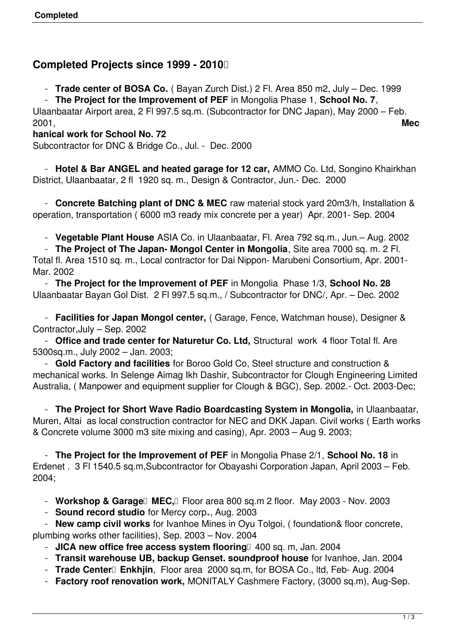## **Completed Projects since 1999 - 2010**

- **Trade center of BOSA Co.** ( Bayan Zurch Dist.) 2 Fl. Area 850 m2, July – Dec. 1999

- **The Project for the Improvement of PEF** in Mongolia Phase 1, **School No. 7**,

Ulaanbaatar Airport area, 2 Fl 997.5 sq.m. (Subcontractor for DNC Japan), May 2000 – Feb. 2001, **Mec**

#### **hanical work for School No. 72**

Subcontractor for DNC & Bridge Co., Jul. - Dec. 2000

 - **Hotel & Bar ANGEL and heated garage for 12 car,** AMMO Co. Ltd, Songino Khairkhan District, Ulaanbaatar, 2 fl 1920 sq. m., Design & Contractor, Jun.- Dec. 2000

 - **Concrete Batching plant of DNC & MEC** raw material stock yard 20m3/h, Installation & operation, transportation ( 6000 m3 ready mix concrete per a year) Apr. 2001- Sep. 2004

- **Vegetable Plant House** ASIA Co. in Ulaanbaatar, Fl. Area 792 sq.m., Jun.– Aug. 2002

- **The Project of The Japan- Mongol Center in Mongolia**, Site area 7000 sq. m. 2 Fl.

Total fl. Area 1510 sq. m., Local contractor for Dai Nippon- Marubeni Consortium, Apr. 2001- Mar. 2002

 - **The Project for the Improvement of PEF** in Mongolia Phase 1/3, **School No. 28** Ulaanbaatar Bayan Gol Dist. 2 Fl 997.5 sq.m., / Subcontractor for DNC/, Apr. – Dec. 2002

 - **Facilities for Japan Mongol center,** ( Garage, Fence, Watchman house), Designer & Contractor,July – Sep. 2002

 - **Office and trade center for Naturetur Co. Ltd,** Structural work 4 floor Total fl. Are 5300sq.m., July 2002 – Jan. 2003;

 - **Gold Factory and facilities** for Boroo Gold Co, Steel structure and construction & mechanical works. In Selenge Aimag Ikh Dashir, Subcontractor for Clough Engineering Limited Australia, ( Manpower and equipment supplier for Clough & BGC), Sep. 2002.- Oct. 2003-Dec;

 - **The Project for Short Wave Radio Boardcasting System in Mongolia,** in Ulaanbaatar, Muren, Altai as local construction contractor for NEC and DKK Japan. Civil works ( Earth works & Concrete volume 3000 m3 site mixing and casing), Apr. 2003 – Aug 9. 2003;

 - **The Project for the Improvement of PEF** in Mongolia Phase 2/1, **School No. 18** in Erdenet . 3 Fl 1540.5 sq.m,Subcontractor for Obayashi Corporation Japan, April 2003 – Feb. 2004;

- **Workshop & Garage** MEC, Floor area 800 sq.m 2 floor. May 2003 - Nov. 2003

- **Sound record studio** for Mercy corp**.**, Aug. 2003

 - **New camp civil works** for Ivanhoe Mines in Oyu Tolgoi, ( foundation& floor concrete, plumbing works other facilities), Sep. 2003 – Nov. 2004

- JICA new office free access system flooring<sup>1</sup> 400 sq. m, Jan. 2004
- **Transit warehouse UB, backup Genset. soundproof house** for Ivanhoe, Jan. 2004
- **Trade Center**<sup>[]</sup> Enkhjin, Floor area 2000 sq.m, for BOSA Co., ltd, Feb- Aug. 2004
- **Factory roof renovation work,** MONITALY Cashmere Factory, (3000 sq.m), Aug-Sep.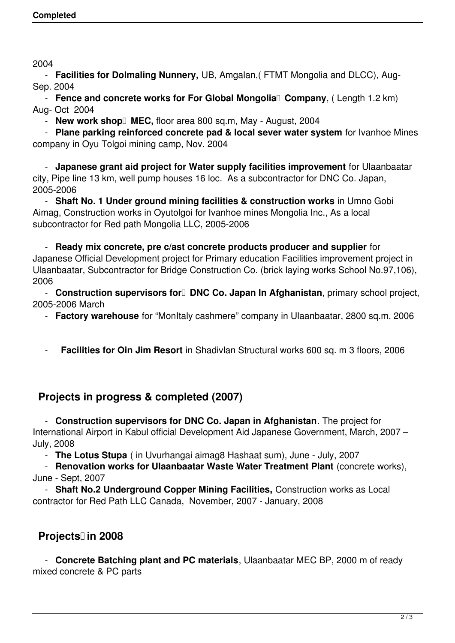2004

 - **Facilities for Dolmaling Nunnery,** UB, Amgalan,( FTMT Mongolia and DLCC), Aug-Sep. 2004

- **Fence and concrete works for For Global Mongolia** Company, (Length 1.2 km) Aug- Oct 2004

- **New work shop** MEC, floor area 800 sq.m, May - August, 2004

 - **Plane parking reinforced concrete pad & local sever water system** for Ivanhoe Mines company in Oyu Tolgoi mining camp, Nov. 2004

 - **Japanese grant aid project for Water supply facilities improvement** for Ulaanbaatar city, Pipe line 13 km, well pump houses 16 loc. As a subcontractor for DNC Co. Japan, 2005-2006

 - **Shaft No. 1 Under ground mining facilities & construction works** in Umno Gobi Aimag, Construction works in Oyutolgoi for Ivanhoe mines Mongolia Inc., As a local subcontractor for Red path Mongolia LLC, 2005-2006

 - **Ready mix concrete, pre c/ast concrete products producer and supplier** for Japanese Official Development project for Primary education Facilities improvement project in Ulaanbaatar, Subcontractor for Bridge Construction Co. (brick laying works School No.97,106), 2006

- **Construction supervisors for DNC Co. Japan In Afghanistan**, primary school project, 2005-2006 March

- **Factory warehouse** for "MonItaly cashmere" company in Ulaanbaatar, 2800 sq.m, 2006

**Facilities for Oin Jim Resort** in Shadivlan Structural works 600 sq. m 3 floors, 2006

## **Projects in progress & completed (2007)**

 - **Construction supervisors for DNC Co. Japan in Afghanistan**. The project for International Airport in Kabul official Development Aid Japanese Government, March, 2007 – July, 2008

- **The Lotus Stupa** ( in Uvurhangai aimag8 Hashaat sum), June - July, 2007

 - **Renovation works for Ulaanbaatar Waste Water Treatment Plant** (concrete works), June - Sept, 2007

 - **Shaft No.2 Underground Copper Mining Facilities,** Construction works as Local contractor for Red Path LLC Canada, November, 2007 - January, 2008

# **Projects** in 2008

 - **Concrete Batching plant and PC materials**, Ulaanbaatar MEC BP, 2000 m of ready mixed concrete & PC parts